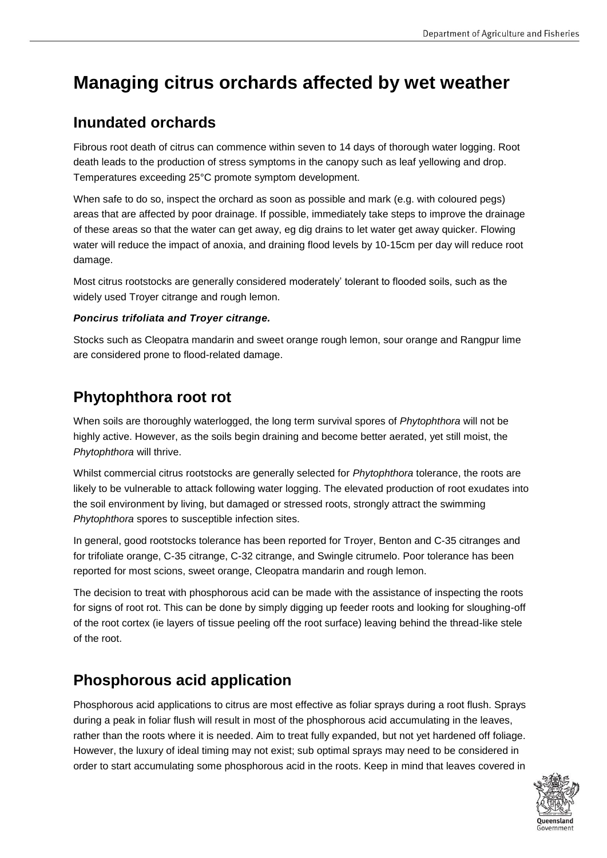# **Managing citrus orchards affected by wet weather**

# **Inundated orchards**

Fibrous root death of citrus can commence within seven to 14 days of thorough water logging. Root death leads to the production of stress symptoms in the canopy such as leaf yellowing and drop. Temperatures exceeding 25°C promote symptom development.

When safe to do so, inspect the orchard as soon as possible and mark (e.g. with coloured pegs) areas that are affected by poor drainage. If possible, immediately take steps to improve the drainage of these areas so that the water can get away, eg dig drains to let water get away quicker. Flowing water will reduce the impact of anoxia, and draining flood levels by 10-15cm per day will reduce root damage.

Most citrus rootstocks are generally considered moderately' tolerant to flooded soils, such as the widely used Troyer citrange and rough lemon.

#### *Poncirus trifoliata and Troyer citrange.*

Stocks such as Cleopatra mandarin and sweet orange rough lemon, sour orange and Rangpur lime are considered prone to flood-related damage.

# **Phytophthora root rot**

When soils are thoroughly waterlogged, the long term survival spores of *Phytophthora* will not be highly active. However, as the soils begin draining and become better aerated, yet still moist, the *Phytophthora* will thrive.

Whilst commercial citrus rootstocks are generally selected for *Phytophthora* tolerance, the roots are likely to be vulnerable to attack following water logging. The elevated production of root exudates into the soil environment by living, but damaged or stressed roots, strongly attract the swimming *Phytophthora* spores to susceptible infection sites.

In general, good rootstocks tolerance has been reported for Troyer, Benton and C-35 citranges and for trifoliate orange, C-35 citrange, C-32 citrange, and Swingle citrumelo. Poor tolerance has been reported for most scions, sweet orange, Cleopatra mandarin and rough lemon.

The decision to treat with phosphorous acid can be made with the assistance of inspecting the roots for signs of root rot. This can be done by simply digging up feeder roots and looking for sloughing-off of the root cortex (ie layers of tissue peeling off the root surface) leaving behind the thread-like stele of the root.

# **Phosphorous acid application**

Phosphorous acid applications to citrus are most effective as foliar sprays during a root flush. Sprays during a peak in foliar flush will result in most of the phosphorous acid accumulating in the leaves, rather than the roots where it is needed. Aim to treat fully expanded, but not yet hardened off foliage. However, the luxury of ideal timing may not exist; sub optimal sprays may need to be considered in order to start accumulating some phosphorous acid in the roots. Keep in mind that leaves covered in

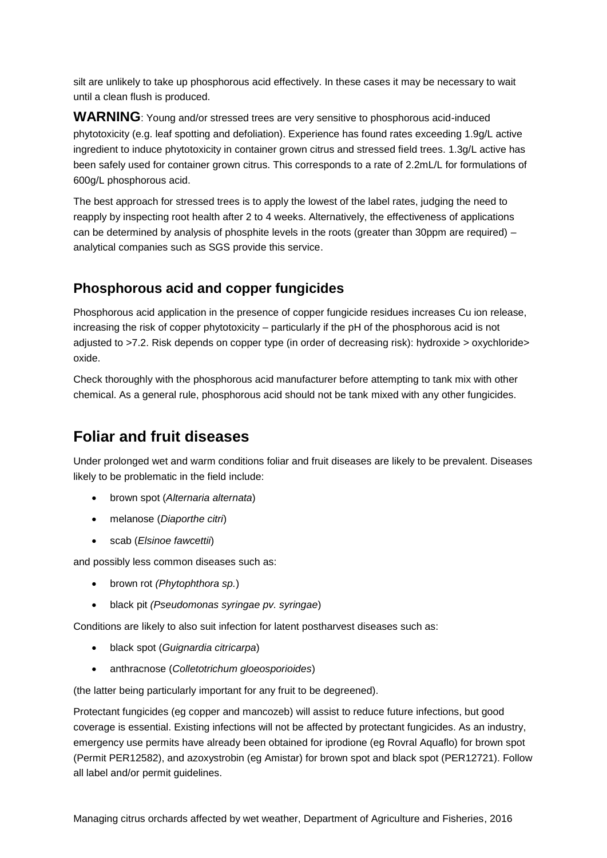silt are unlikely to take up phosphorous acid effectively. In these cases it may be necessary to wait until a clean flush is produced.

**WARNING**: Young and/or stressed trees are very sensitive to phosphorous acid-induced phytotoxicity (e.g. leaf spotting and defoliation). Experience has found rates exceeding 1.9g/L active ingredient to induce phytotoxicity in container grown citrus and stressed field trees. 1.3g/L active has been safely used for container grown citrus. This corresponds to a rate of 2.2mL/L for formulations of 600g/L phosphorous acid.

The best approach for stressed trees is to apply the lowest of the label rates, judging the need to reapply by inspecting root health after 2 to 4 weeks. Alternatively, the effectiveness of applications can be determined by analysis of phosphite levels in the roots (greater than 30ppm are required) – analytical companies such as SGS provide this service.

#### **Phosphorous acid and copper fungicides**

Phosphorous acid application in the presence of copper fungicide residues increases Cu ion release, increasing the risk of copper phytotoxicity – particularly if the pH of the phosphorous acid is not adjusted to >7.2. Risk depends on copper type (in order of decreasing risk): hydroxide > oxychloride> oxide.

Check thoroughly with the phosphorous acid manufacturer before attempting to tank mix with other chemical. As a general rule, phosphorous acid should not be tank mixed with any other fungicides.

## **Foliar and fruit diseases**

Under prolonged wet and warm conditions foliar and fruit diseases are likely to be prevalent. Diseases likely to be problematic in the field include:

- brown spot (*Alternaria alternata*)
- melanose (*Diaporthe citri*)
- scab (*Elsinoe fawcettii*)

and possibly less common diseases such as:

- brown rot *(Phytophthora sp.*)
- black pit *(Pseudomonas syringae pv. syringae*)

Conditions are likely to also suit infection for latent postharvest diseases such as:

- black spot (*Guignardia citricarpa*)
- anthracnose (*Colletotrichum gloeosporioides*)

(the latter being particularly important for any fruit to be degreened).

Protectant fungicides (eg copper and mancozeb) will assist to reduce future infections, but good coverage is essential. Existing infections will not be affected by protectant fungicides. As an industry, emergency use permits have already been obtained for iprodione (eg Rovral Aquaflo) for brown spot (Permit PER12582), and azoxystrobin (eg Amistar) for brown spot and black spot (PER12721). Follow all label and/or permit guidelines.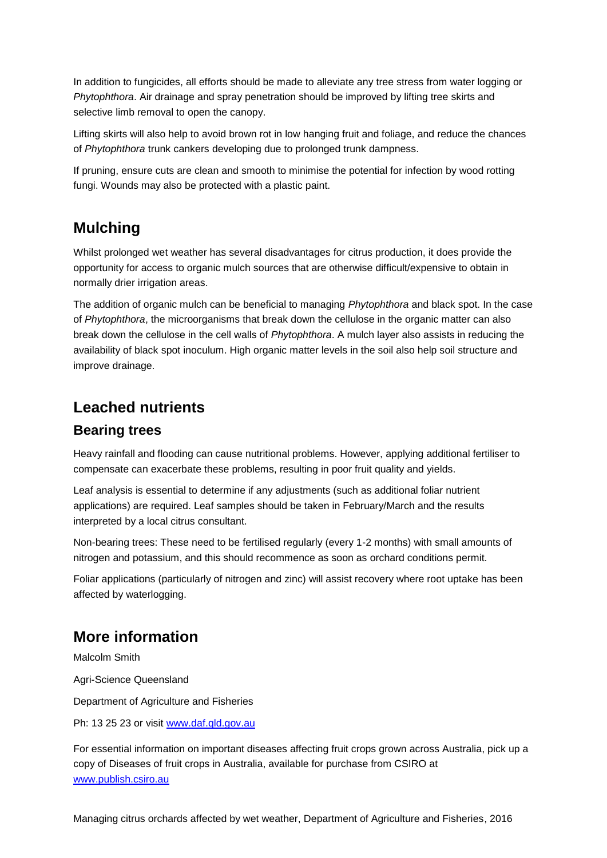In addition to fungicides, all efforts should be made to alleviate any tree stress from water logging or *Phytophthora*. Air drainage and spray penetration should be improved by lifting tree skirts and selective limb removal to open the canopy.

Lifting skirts will also help to avoid brown rot in low hanging fruit and foliage, and reduce the chances of *Phytophthora* trunk cankers developing due to prolonged trunk dampness.

If pruning, ensure cuts are clean and smooth to minimise the potential for infection by wood rotting fungi. Wounds may also be protected with a plastic paint.

## **Mulching**

Whilst prolonged wet weather has several disadvantages for citrus production, it does provide the opportunity for access to organic mulch sources that are otherwise difficult/expensive to obtain in normally drier irrigation areas.

The addition of organic mulch can be beneficial to managing *Phytophthora* and black spot. In the case of *Phytophthora*, the microorganisms that break down the cellulose in the organic matter can also break down the cellulose in the cell walls of *Phytophthora*. A mulch layer also assists in reducing the availability of black spot inoculum. High organic matter levels in the soil also help soil structure and improve drainage.

## **Leached nutrients**

#### **Bearing trees**

Heavy rainfall and flooding can cause nutritional problems. However, applying additional fertiliser to compensate can exacerbate these problems, resulting in poor fruit quality and yields.

Leaf analysis is essential to determine if any adjustments (such as additional foliar nutrient applications) are required. Leaf samples should be taken in February/March and the results interpreted by a local citrus consultant.

Non-bearing trees: These need to be fertilised regularly (every 1-2 months) with small amounts of nitrogen and potassium, and this should recommence as soon as orchard conditions permit.

Foliar applications (particularly of nitrogen and zinc) will assist recovery where root uptake has been affected by waterlogging.

# **More information**

Malcolm Smith

Agri-Science Queensland

Department of Agriculture and Fisheries

Ph: 13 25 23 or visit [www.daf.qld.gov.au](http://www.daf.qld.gov.au/)

For essential information on important diseases affecting fruit crops grown across Australia, pick up a copy of Diseases of fruit crops in Australia, available for purchase from CSIRO at [www.publish.csiro.au](http://www.publish.csiro.au/)

Managing citrus orchards affected by wet weather, Department of Agriculture and Fisheries, 2016